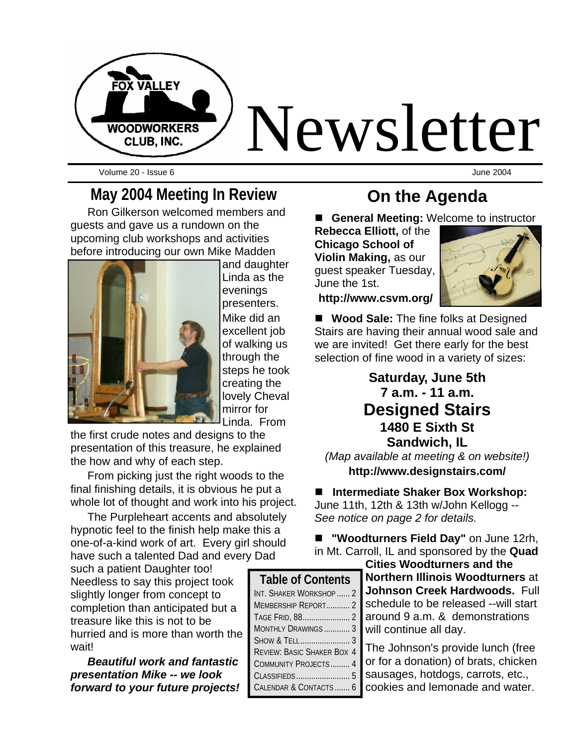

Volume 20 - Issue 6 June 2004

#### **May 2004 Meeting In Review**

Ron Gilkerson welcomed members and guests and gave us a rundown on the upcoming club workshops and activities before introducing our own Mike Madden



and daughter Linda as the evenings presenters. Mike did an excellent job of walking us through the steps he took creating the lovely Cheval mirror for Linda. From

the first crude notes and designs to the presentation of this treasure, he explained the how and why of each step.

From picking just the right woods to the final finishing details, it is obvious he put a whole lot of thought and work into his project.

The Purpleheart accents and absolutely hypnotic feel to the finish help make this a one-of-a-kind work of art. Every girl should have such a talented Dad and every Dad

such a patient Daughter too! Needless to say this project took slightly longer from concept to completion than anticipated but a treasure like this is not to be hurried and is more than worth the wait!

*Beautiful work and fantastic presentation Mike -- we look forward to your future projects!*

#### **On the Agenda**

**General Meeting: Welcome to instructor** 

**Rebecca Elliott,** of the **Chicago School of Violin Making,** as our guest speaker Tuesday, June the 1st.

**http://www.csvm.org/**



■ **Wood Sale:** The fine folks at Designed Stairs are having their annual wood sale and we are invited! Get there early for the best selection of fine wood in a variety of sizes:

#### **Saturday, June 5th 7 a.m. - 11 a.m. Designed Stairs 1480 E Sixth St Sandwich, IL**

*(Map available at meeting & on website!)* **http://www.designstairs.com/**

#### ■ Intermediate Shaker Box Workshop:

June 11th, 12th & 13th w/John Kellogg -- *See notice on page 2 for details.*

n **"Woodturners Field Day"** on June 12rh, in Mt. Carroll, IL and sponsored by the **Quad** 

**Cities Woodturners and the Northern Illinois Woodturners** at **Johnson Creek Hardwoods.** Full schedule to be released --will start around 9 a.m. & demonstrations will continue all day.

The Johnson's provide lunch (free or for a donation) of brats, chicken sausages, hotdogs, carrots, etc., cookies and lemonade and water.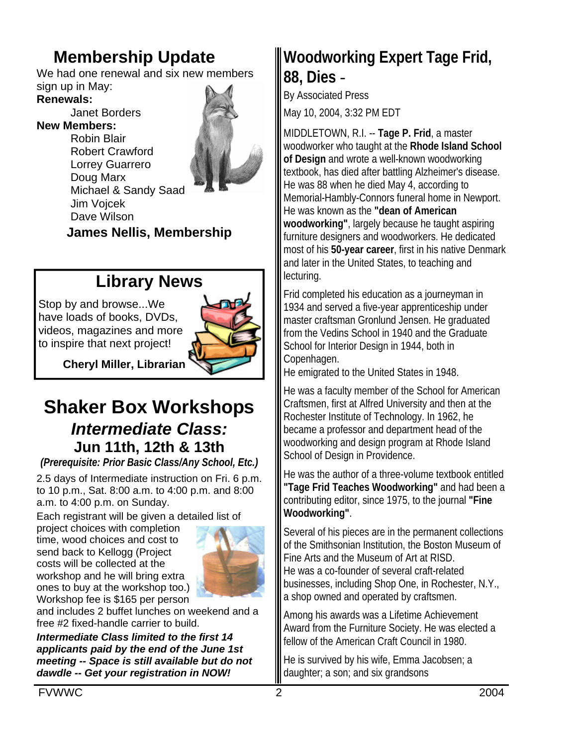# **Membership Update**

We had one renewal and six new members sign up in May:

#### **Renewals:**

Janet Borders **New Members:**

Robin Blair Robert Crawford Lorrey Guarrero Doug Marx Michael & Sandy Saad



Jim Vojcek Dave Wilson

**James Nellis, Membership**

### **Library News**

Stop by and browse...We have loads of books, DVDs, videos, magazines and more to inspire that next project!



**Cheryl Miller, Librarian**

## **Shaker Box Workshops** *Intermediate Class:* **Jun 11th, 12th & 13th**

*(Prerequisite: Prior Basic Class/Any School, Etc.)*

2.5 days of Intermediate instruction on Fri. 6 p.m. to 10 p.m., Sat. 8:00 a.m. to 4:00 p.m. and 8:00 a.m. to 4:00 p.m. on Sunday.

Each registrant will be given a detailed list of

project choices with completion time, wood choices and cost to send back to Kellogg (Project costs will be collected at the workshop and he will bring extra ones to buy at the workshop too.) Workshop fee is \$165 per person



and includes 2 buffet lunches on weekend and a free #2 fixed-handle carrier to build.

*Intermediate Class limited to the first 14 applicants paid by the end of the June 1st meeting -- Space is still available but do not dawdle -- Get your registration in NOW!*

# **Woodworking Expert Tage Frid, 88, Dies** -

By Associated Press

May 10, 2004, 3:32 PM EDT

MIDDLETOWN, R.I. -- **Tage P. Frid**, a master woodworker who taught at the **Rhode Island School of Design** and wrote a well-known woodworking textbook, has died after battling Alzheimer's disease. He was 88 when he died May 4, according to Memorial-Hambly-Connors funeral home in Newport. He was known as the **"dean of American woodworking"**, largely because he taught aspiring furniture designers and woodworkers. He dedicated most of his **50-year career**, first in his native Denmark and later in the United States, to teaching and lecturing.

Frid completed his education as a journeyman in 1934 and served a five-year apprenticeship under master craftsman Gronlund Jensen. He graduated from the Vedins School in 1940 and the Graduate School for Interior Design in 1944, both in Copenhagen.

He emigrated to the United States in 1948.

He was a faculty member of the School for American Craftsmen, first at Alfred University and then at the Rochester Institute of Technology. In 1962, he became a professor and department head of the woodworking and design program at Rhode Island School of Design in Providence.

He was the author of a three-volume textbook entitled **"Tage Frid Teaches Woodworking"** and had been a contributing editor, since 1975, to the journal **"Fine Woodworking"**.

Several of his pieces are in the permanent collections of the Smithsonian Institution, the Boston Museum of Fine Arts and the Museum of Art at RISD. He was a co-founder of several craft-related businesses, including Shop One, in Rochester, N.Y., a shop owned and operated by craftsmen.

Among his awards was a Lifetime Achievement Award from the Furniture Society. He was elected a fellow of the American Craft Council in 1980.

He is survived by his wife, Emma Jacobsen; a daughter; a son; and six grandsons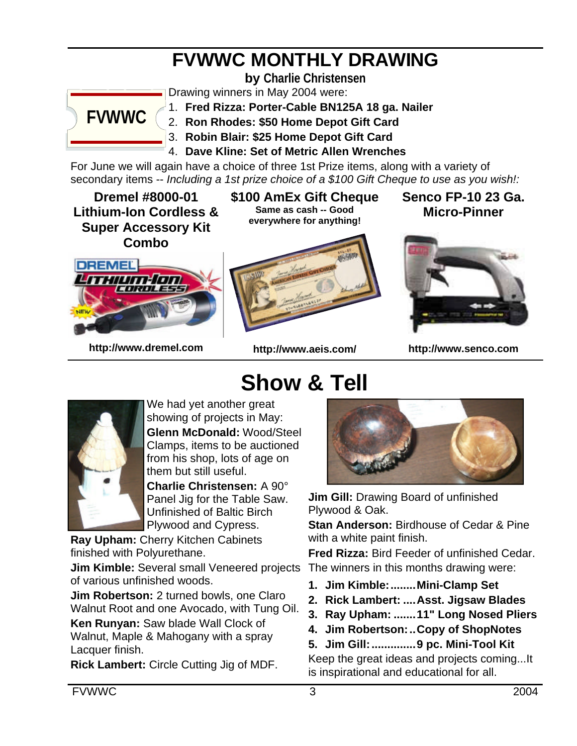# **FVWWC MONTHLY DRAWING**

**by Charlie Christensen**



Drawing winners in May 2004 were:

1. **Fred Rizza: Porter-Cable BN125A 18 ga. Nailer**

2. **Ron Rhodes: \$50 Home Depot Gift Card**

- 3. **Robin Blair: \$25 Home Depot Gift Card**
- 4. **Dave Kline: Set of Metric Allen Wrenches**

For June we will again have a choice of three 1st Prize items, along with a variety of secondary items -- *Including a 1st prize choice of a \$100 Gift Cheque to use as you wish!:*

**Dremel #8000-01 Lithium-Ion Cordless & Super Accessory Kit Combo**

**\$100 AmEx Gift Cheque Same as cash -- Good everywhere for anything!**

**Senco FP-10 23 Ga. Micro-Pinner**



**http://www.dremel.com**

**http://www.aeis.com/**

**Show & Tell**



**http://www.senco.com**



We had yet another great showing of projects in May: **Glenn McDonald:** Wood/Steel Clamps, items to be auctioned from his shop, lots of age on them but still useful.

**Charlie Christensen:** A 90° Panel Jig for the Table Saw. Unfinished of Baltic Birch Plywood and Cypress.

**Ray Upham:** Cherry Kitchen Cabinets finished with Polyurethane.

**Jim Kimble:** Several small Veneered projects The winners in this months drawing were: of various unfinished woods.

**Jim Robertson:** 2 turned bowls, one Claro Walnut Root and one Avocado, with Tung Oil.

**Ken Runyan:** Saw blade Wall Clock of Walnut, Maple & Mahogany with a spray Lacquer finish.

**Rick Lambert:** Circle Cutting Jig of MDF.



**Jim Gill:** Drawing Board of unfinished Plywood & Oak.

**Stan Anderson:** Birdhouse of Cedar & Pine with a white paint finish.

**Fred Rizza:** Bird Feeder of unfinished Cedar.

- **1. Jim Kimble:........Mini-Clamp Set**
- **2. Rick Lambert: ....Asst. Jigsaw Blades**
- **3. Ray Upham: .......11" Long Nosed Pliers**
- **4. Jim Robertson:..Copy of ShopNotes**
- **5. Jim Gill:..............9 pc. Mini-Tool Kit**

Keep the great ideas and projects coming...It is inspirational and educational for all.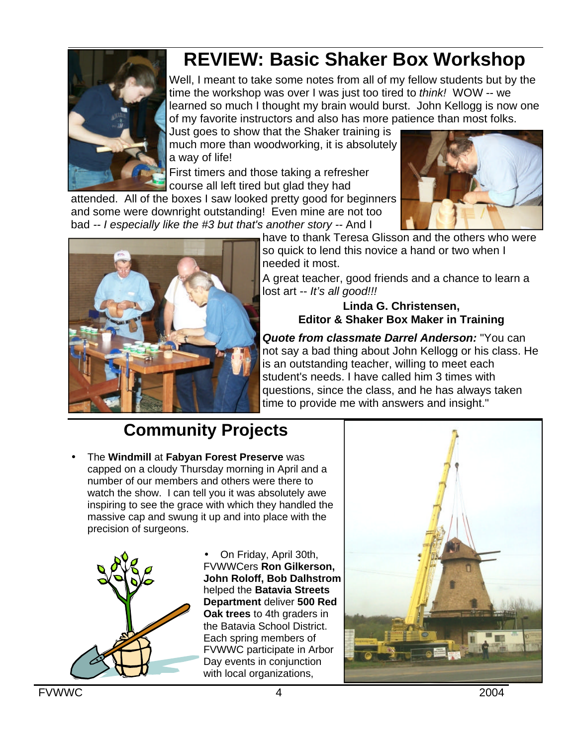# **REVIEW: Basic Shaker Box Workshop**

Well, I meant to take some notes from all of my fellow students but by the time the workshop was over I was just too tired to *think!* WOW -- we learned so much I thought my brain would burst. John Kellogg is now one of my favorite instructors and also has more patience than most folks.

Just goes to show that the Shaker training is much more than woodworking, it is absolutely a way of life!

First timers and those taking a refresher course all left tired but glad they had

attended. All of the boxes I saw looked pretty good for beginners and some were downright outstanding! Even mine are not too bad *-- I especially like the #3 but that's another story --* And I





have to thank Teresa Glisson and the others who were so quick to lend this novice a hand or two when I needed it most.

A great teacher, good friends and a chance to learn a lost art -- *It's all good!!!*

#### **Linda G. Christensen, Editor & Shaker Box Maker in Training**

*Quote from classmate Darrel Anderson:* "You can not say a bad thing about John Kellogg or his class. He is an outstanding teacher, willing to meet each student's needs. I have called him 3 times with questions, since the class, and he has always taken time to provide me with answers and insight."

# **Community Projects**

• The **Windmill** at **Fabyan Forest Preserve** was capped on a cloudy Thursday morning in April and a number of our members and others were there to watch the show. I can tell you it was absolutely awe inspiring to see the grace with which they handled the massive cap and swung it up and into place with the precision of surgeons.



• On Friday, April 30th, FVWWCers **Ron Gilkerson, John Roloff, Bob Dalhstrom** helped the **Batavia Streets Department** deliver **500 Red Oak trees** to 4th graders in the Batavia School District. Each spring members of FVWWC participate in Arbor Day events in conjunction with local organizations,



**FVWWC** 2004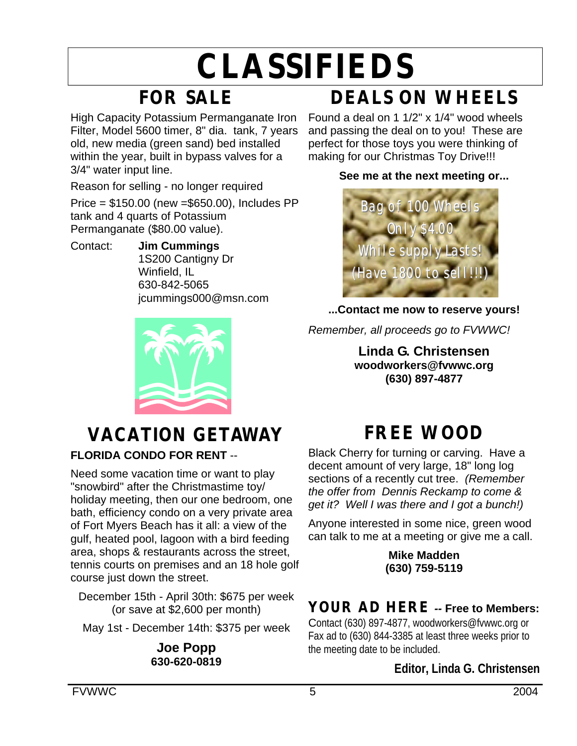# **CLASSIFIEDS**

# **FOR SALE**

High Capacity Potassium Permanganate Iron Filter, Model 5600 timer, 8" dia. tank, 7 years old, new media (green sand) bed installed within the year, built in bypass valves for a 3/4" water input line.

Reason for selling - no longer required Price = \$150.00 (new =\$650.00), Includes PP tank and 4 quarts of Potassium Permanganate (\$80.00 value).

Contact: **Jim Cummings** 1S200 Cantigny Dr Winfield, IL 630-842-5065 jcummings000@msn.com



#### **DEALS ON WHEELS** Found a deal on 1 1/2" x 1/4" wood wheels and passing the deal on to you! These are perfect for those toys you were thinking of

making for our Christmas Toy Drive!!!

#### **See me at the next meeting or...**



#### **...Contact me now to reserve yours!**

*Remember, all proceeds go to FVWWC!*

**Linda G. Christensen woodworkers@fvwwc.org (630) 897-4877**

# **VACATION GETAWAY**

#### **FLORIDA CONDO FOR RENT** --

Need some vacation time or want to play "snowbird" after the Christmastime toy/ holiday meeting, then our one bedroom, one bath, efficiency condo on a very private area of Fort Myers Beach has it all: a view of the gulf, heated pool, lagoon with a bird feeding area, shops & restaurants across the street, tennis courts on premises and an 18 hole golf course just down the street.

December 15th - April 30th: \$675 per week (or save at \$2,600 per month)

May 1st - December 14th: \$375 per week

**Joe Popp 630-620-0819**

# **FREE WOOD**

Black Cherry for turning or carving. Have a decent amount of very large, 18" long log sections of a recently cut tree. *(Remember the offer from Dennis Reckamp to come & get it? Well I was there and I got a bunch!)*

Anyone interested in some nice, green wood can talk to me at a meeting or give me a call.

> **Mike Madden (630) 759-5119**

### **YOUR AD HERE** *--* **Free to Members:**

Contact (630) 897-4877, woodworkers@fvwwc.org or Fax ad to (630) 844-3385 at least three weeks prior to the meeting date to be included.

#### **Editor, Linda G. Christensen**